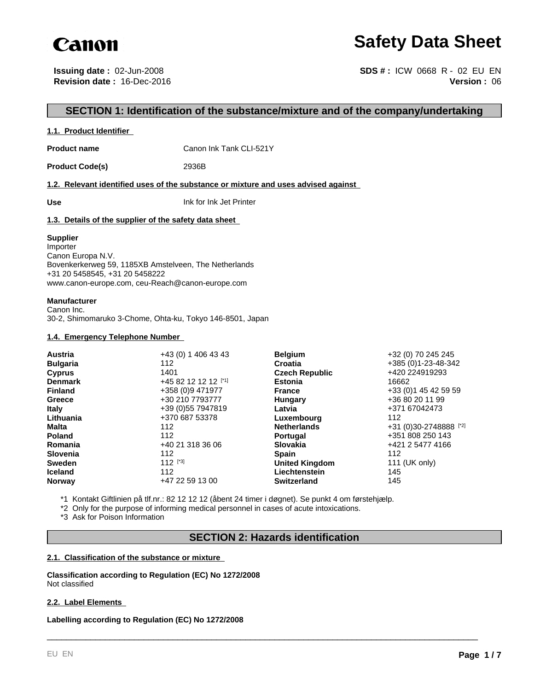

# **Safety Data Sheet**

**Issuing date :** 02-Jun-2008 **Revision date :** 16-Dec-2016

**Version :** 06 **SDS # :** ICW 0668 R - 02 EU EN

## **SECTION 1: Identification of the substance/mixture and of the company/undertaking**

## **1.1. Product Identifier**

**Product name** Canon Ink Tank CLI-521Y

Product Code(s) 2936B

**1.2. Relevant identified uses of the substance or mixture and uses advised against** 

**Use** Ink for Ink Jet Printer

## **1.3. Details of the supplier of the safety data sheet**

#### **Supplier**

Importer Canon Europa N.V. Bovenkerkerweg 59, 1185XB Amstelveen, The Netherlands +31 20 5458545, +31 20 5458222 www.canon-europe.com, ceu-Reach@canon-europe.com

#### **Manufacturer**

Canon Inc. 30-2, Shimomaruko 3-Chome, Ohta-ku, Tokyo 146-8501, Japan

## **1.4. Emergency Telephone Number**

| <b>Austria</b>  | +43 (0) 1 406 43 43  | <b>Belgium</b>        | +32 (0) 70 245 245     |
|-----------------|----------------------|-----------------------|------------------------|
| <b>Bulgaria</b> | 112                  | Croatia               | +385 (0)1-23-48-342    |
| <b>Cyprus</b>   | 1401                 | <b>Czech Republic</b> | +420 224919293         |
| <b>Denmark</b>  | +45 82 12 12 12 [*1] | <b>Estonia</b>        | 16662                  |
| <b>Finland</b>  | +358 (0)9 471977     | <b>France</b>         | +33 (0) 1 45 42 59 59  |
| Greece          | +30 210 7793777      | Hungary               | +36 80 20 11 99        |
| <b>Italy</b>    | +39 (0) 55 7947819   | Latvia                | +371 67042473          |
| Lithuania       | +370 687 53378       | Luxembourg            | 112                    |
| <b>Malta</b>    | 112                  | <b>Netherlands</b>    | +31 (0)30-2748888 [*2] |
| <b>Poland</b>   | 112                  | <b>Portugal</b>       | +351 808 250 143       |
| Romania         | +40 21 318 36 06     | <b>Slovakia</b>       | +421 2 5477 4166       |
| <b>Slovenia</b> | 112                  | <b>Spain</b>          | 112                    |
| <b>Sweden</b>   | 112 $[^{3}]$         | <b>United Kingdom</b> | 111 (UK only)          |
| <b>Iceland</b>  | 112                  | Liechtenstein         | 145                    |
| <b>Norway</b>   | +47 22 59 13 00      | <b>Switzerland</b>    | 145                    |

\*1 Kontakt Giftlinien på tlf.nr.: 82 12 12 12 (åbent 24 timer i døgnet). Se punkt 4 om førstehjælp.

\*2 Only for the purpose of informing medical personnel in cases of acute intoxications.

\*3 Ask for Poison Information

## **SECTION 2: Hazards identification**

\_\_\_\_\_\_\_\_\_\_\_\_\_\_\_\_\_\_\_\_\_\_\_\_\_\_\_\_\_\_\_\_\_\_\_\_\_\_\_\_\_\_\_\_\_\_\_\_\_\_\_\_\_\_\_\_\_\_\_\_\_\_\_\_\_\_\_\_\_\_\_\_\_\_\_\_\_\_\_\_\_\_\_\_\_\_\_\_\_

## **2.1. Classification of the substance or mixture**

**Classification according to Regulation (EC) No 1272/2008** Not classified

## **2.2. Label Elements**

**Labelling according to Regulation (EC) No 1272/2008**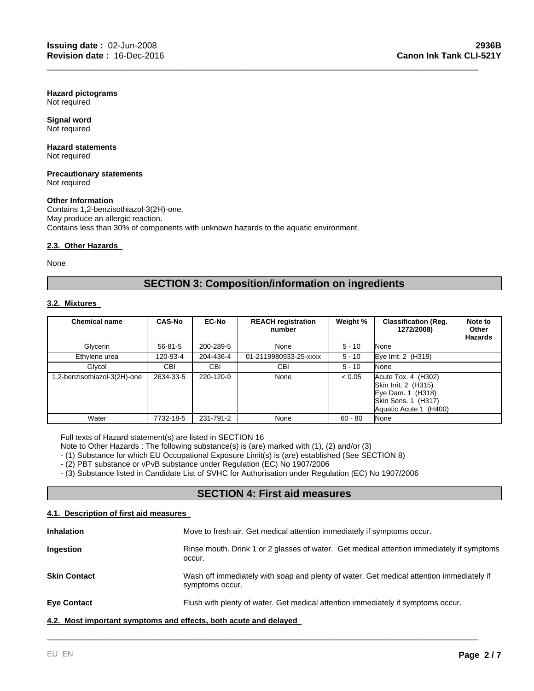**Hazard pictograms** Not required

**Signal word** Not required

#### **Hazard statements** Not required

**Precautionary statements** Not required

## **Other Information**

Contains 1,2-benzisothiazol-3(2H)-one. May produce an allergic reaction. Contains less than 30% of components with unknown hazards to the aquatic environment.

## **2.3. Other Hazards**

None

## **SECTION 3: Composition/information on ingredients**

\_\_\_\_\_\_\_\_\_\_\_\_\_\_\_\_\_\_\_\_\_\_\_\_\_\_\_\_\_\_\_\_\_\_\_\_\_\_\_\_\_\_\_\_\_\_\_\_\_\_\_\_\_\_\_\_\_\_\_\_\_\_\_\_\_\_\_\_\_\_\_\_\_\_\_\_\_\_\_\_\_\_\_\_\_\_\_\_\_

## **3.2. Mixtures**

| <b>Chemical name</b>        | <b>CAS-No</b> | <b>EC-No</b> | <b>REACH registration</b><br>number | Weight %  | <b>Classification (Reg.</b><br>1272/2008)                                                                              | Note to<br>Other<br>Hazards |
|-----------------------------|---------------|--------------|-------------------------------------|-----------|------------------------------------------------------------------------------------------------------------------------|-----------------------------|
| Glycerin                    | $56 - 81 - 5$ | 200-289-5    | None                                | $5 - 10$  | None                                                                                                                   |                             |
| Ethylene urea               | 120-93-4      | 204-436-4    | 01-2119980933-25-xxxx               | $5 - 10$  | Eye Irrit. 2 (H319)                                                                                                    |                             |
| Glycol                      | CBI           | CBI          | CBI                                 | $5 - 10$  | None                                                                                                                   |                             |
| .2-benzisothiazol-3(2H)-one | 2634-33-5     | 220-120-9    | None                                | < 0.05    | $Accute$ Tox. 4 $(H302)$<br>Skin Irrit. 2 (H315)<br>Eye Dam. 1 (H318)<br>Skin Sens. 1 (H317)<br>Aquatic Acute 1 (H400) |                             |
| Water                       | 7732-18-5     | 231-791-2    | None                                | $60 - 80$ | None                                                                                                                   |                             |

Full texts of Hazard statement(s) are listed in SECTION 16

Note to Other Hazards : The following substance(s) is (are) marked with (1), (2) and/or (3)

- (1) Substance for which EU Occupational Exposure Limit(s) is (are) established (See SECTION 8)

- (2) PBT substance or vPvB substance under Regulation (EC) No 1907/2006

- (3) Substance listed in Candidate List of SVHC for Authorisation under Regulation (EC) No 1907/2006

## **SECTION 4: First aid measures**

## **4.1. Description of first aid measures**

| <b>Inhalation</b>                                                | Move to fresh air. Get medical attention immediately if symptoms occur.                                     |  |
|------------------------------------------------------------------|-------------------------------------------------------------------------------------------------------------|--|
| Ingestion                                                        | Rinse mouth. Drink 1 or 2 glasses of water. Get medical attention immediately if symptoms<br>occur.         |  |
| <b>Skin Contact</b>                                              | Wash off immediately with soap and plenty of water. Get medical attention immediately if<br>symptoms occur. |  |
| <b>Eye Contact</b>                                               | Flush with plenty of water. Get medical attention immediately if symptoms occur.                            |  |
| 4.2. Most important symptoms and effects, both acute and delayed |                                                                                                             |  |

\_\_\_\_\_\_\_\_\_\_\_\_\_\_\_\_\_\_\_\_\_\_\_\_\_\_\_\_\_\_\_\_\_\_\_\_\_\_\_\_\_\_\_\_\_\_\_\_\_\_\_\_\_\_\_\_\_\_\_\_\_\_\_\_\_\_\_\_\_\_\_\_\_\_\_\_\_\_\_\_\_\_\_\_\_\_\_\_\_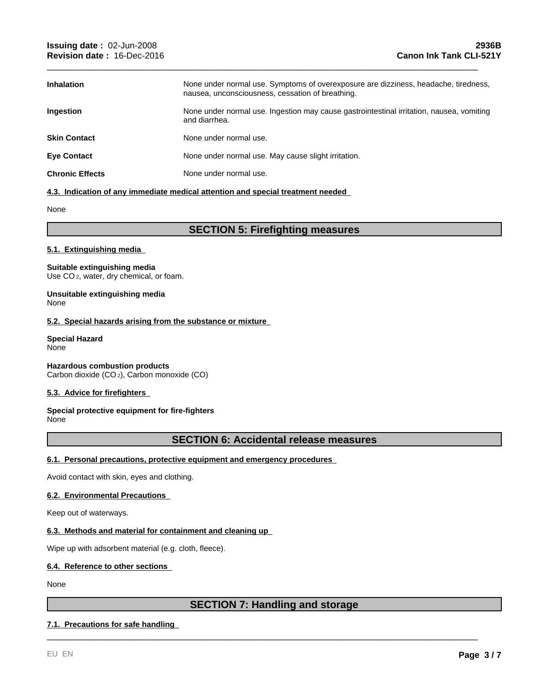| <b>Inhalation</b>      | None under normal use. Symptoms of overexposure are dizziness, headache, tiredness,<br>nausea, unconsciousness, cessation of breathing. |
|------------------------|-----------------------------------------------------------------------------------------------------------------------------------------|
| <b>Ingestion</b>       | None under normal use. Ingestion may cause gastrointestinal irritation, nausea, vomiting<br>and diarrhea.                               |
| <b>Skin Contact</b>    | None under normal use.                                                                                                                  |
| <b>Eye Contact</b>     | None under normal use. May cause slight irritation.                                                                                     |
| <b>Chronic Effects</b> | None under normal use.                                                                                                                  |

\_\_\_\_\_\_\_\_\_\_\_\_\_\_\_\_\_\_\_\_\_\_\_\_\_\_\_\_\_\_\_\_\_\_\_\_\_\_\_\_\_\_\_\_\_\_\_\_\_\_\_\_\_\_\_\_\_\_\_\_\_\_\_\_\_\_\_\_\_\_\_\_\_\_\_\_\_\_\_\_\_\_\_\_\_\_\_\_\_

## **4.3. Indication of any immediate medical attention and special treatment needed**

None

## **SECTION 5: Firefighting measures**

## **5.1. Extinguishing media**

## **Suitable extinguishing media**

Use CO<sub>2</sub>, water, dry chemical, or foam.

#### **Unsuitable extinguishing media** None

## **5.2. Special hazards arising from the substance or mixture**

#### **Special Hazard** None

**Hazardous combustion products** Carbon dioxide (CO 2), Carbon monoxide (CO)

## **5.3. Advice for firefighters**

#### **Special protective equipment for fire-fighters** None

## **SECTION 6: Accidental release measures**

## **6.1. Personal precautions, protective equipment and emergency procedures**

Avoid contact with skin, eyes and clothing.

## **6.2. Environmental Precautions**

Keep out of waterways.

## **6.3. Methods and material for containment and cleaning up**

Wipe up with adsorbent material (e.g. cloth, fleece).

## **6.4. Reference to other sections**

None

## **SECTION 7: Handling and storage**

\_\_\_\_\_\_\_\_\_\_\_\_\_\_\_\_\_\_\_\_\_\_\_\_\_\_\_\_\_\_\_\_\_\_\_\_\_\_\_\_\_\_\_\_\_\_\_\_\_\_\_\_\_\_\_\_\_\_\_\_\_\_\_\_\_\_\_\_\_\_\_\_\_\_\_\_\_\_\_\_\_\_\_\_\_\_\_\_\_

## **7.1. Precautions for safe handling**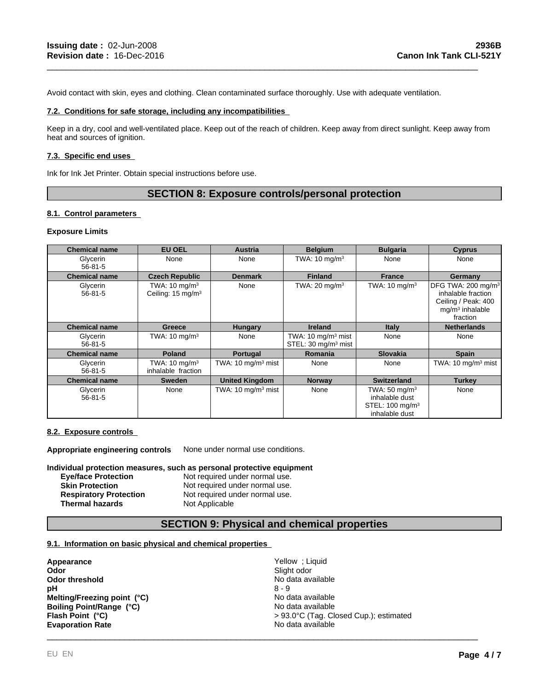Avoid contact with skin, eyes and clothing. Clean contaminated surface thoroughly. Use with adequate ventilation.

## **7.2. Conditions for safe storage, including any incompatibilities**

Keep in a dry, cool and well-ventilated place. Keep out of the reach of children. Keep away from direct sunlight. Keep away from heat and sources of ignition.

\_\_\_\_\_\_\_\_\_\_\_\_\_\_\_\_\_\_\_\_\_\_\_\_\_\_\_\_\_\_\_\_\_\_\_\_\_\_\_\_\_\_\_\_\_\_\_\_\_\_\_\_\_\_\_\_\_\_\_\_\_\_\_\_\_\_\_\_\_\_\_\_\_\_\_\_\_\_\_\_\_\_\_\_\_\_\_\_\_

#### **7.3. Specific end uses**

Ink for Ink Jet Printer. Obtain special instructions before use.

## **SECTION 8: Exposure controls/personal protection**

## **8.1. Control parameters**

#### **Exposure Limits**

| <b>Chemical name</b>      | <b>EU OEL</b>                                              | Austria                        | <b>Belgium</b>                                                   | <b>Bulgaria</b>                                                                             | <b>Cyprus</b>                                                                                                |
|---------------------------|------------------------------------------------------------|--------------------------------|------------------------------------------------------------------|---------------------------------------------------------------------------------------------|--------------------------------------------------------------------------------------------------------------|
| Glycerin<br>$56 - 81 - 5$ | None                                                       | None                           | TWA: $10 \text{ mg/m}^3$                                         | None                                                                                        | None                                                                                                         |
| <b>Chemical name</b>      | <b>Czech Republic</b>                                      | <b>Denmark</b>                 | <b>Finland</b>                                                   | <b>France</b>                                                                               | Germany                                                                                                      |
| Glycerin<br>$56 - 81 - 5$ | TWA: 10 mg/m <sup>3</sup><br>Ceiling: 15 mg/m <sup>3</sup> | None                           | TWA: $20 \text{ mg/m}^3$                                         | TWA: $10 \text{ mg/m}^3$                                                                    | DFG TWA: 200 mg/m <sup>3</sup><br>inhalable fraction<br>Ceiling / Peak: 400<br>$mq/m3$ inhalable<br>fraction |
| <b>Chemical name</b>      | Greece                                                     | <b>Hungary</b>                 | <b>Ireland</b>                                                   | <b>Italy</b>                                                                                | <b>Netherlands</b>                                                                                           |
| Glycerin<br>$56 - 81 - 5$ | TWA: $10 \text{ mg/m}^3$                                   | None                           | TWA: $10 \text{ mg/m}^3$ mist<br>STEL: 30 mg/m <sup>3</sup> mist | None                                                                                        | None                                                                                                         |
| <b>Chemical name</b>      | <b>Poland</b>                                              | Portugal                       | <b>Romania</b>                                                   | <b>Slovakia</b>                                                                             | <b>Spain</b>                                                                                                 |
| Glycerin<br>$56 - 81 - 5$ | TWA: $10 \text{ mg/m}^3$<br>inhalable fraction             | TWA: $10 \text{ mg/m}^3$ mist  | None                                                             | None                                                                                        | TWA: $10 \text{ mg/m}^3$ mist                                                                                |
| <b>Chemical name</b>      | <b>Sweden</b>                                              | <b>United Kingdom</b>          | <b>Norway</b>                                                    | <b>Switzerland</b>                                                                          | <b>Turkey</b>                                                                                                |
| Glycerin<br>$56 - 81 - 5$ | None                                                       | TWA: 10 mg/m <sup>3</sup> mist | None                                                             | TWA: $50 \text{ mg/m}^3$<br>inhalable dust<br>STEL: 100 mg/m <sup>3</sup><br>inhalable dust | None                                                                                                         |

## **8.2. Exposure controls**

**Appropriate engineering controls** None under normal use conditions.

**Individual protection measures, such as personal protective equipment**

| <b>Eve/face Protection</b>    | Not required under normal use. |
|-------------------------------|--------------------------------|
| <b>Skin Protection</b>        | Not required under normal use. |
| <b>Respiratory Protection</b> | Not required under normal use. |
| <b>Thermal hazards</b>        | Not Applicable                 |

## **SECTION 9: Physical and chemical properties**

#### **9.1. Information on basic physical and chemical properties**

| Yellow : Liquid                        |
|----------------------------------------|
| Slight odor                            |
| No data available                      |
| $8 - 9$                                |
| No data available                      |
| No data available                      |
| > 93.0°C (Tag. Closed Cup.); estimated |
| No data available                      |
|                                        |
|                                        |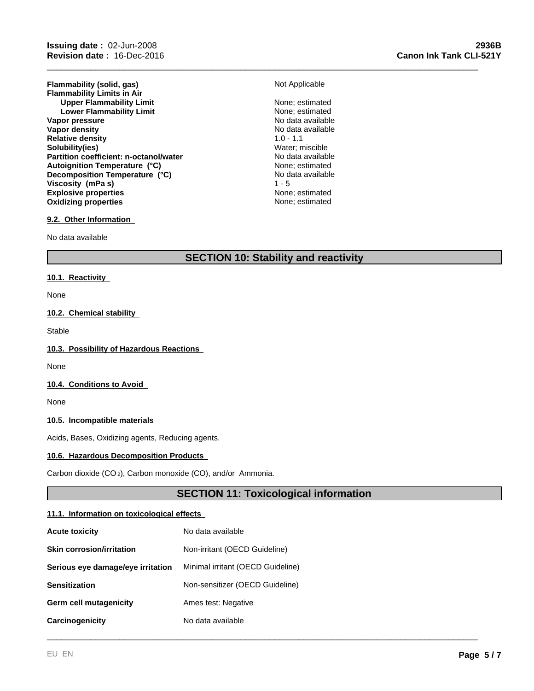**Flammability (solid, gas)** Not Applicable **Flammability Limits in Air Upper Flammability Limit** None; estimated<br>
Lower Flammability Limit<br>
None: estimated **Lower Flammability Limit** None; estimated<br>
None; estimated<br>
No data available **Vapor pressure**<br> **Vapor density**<br> **Vapor density**<br> **Vapor density Vapor density** No data<br> **Relative density** No data available 1.0 - 1.1 **Relative density Solubility(ies)** Water; miscible **Partition coefficient: n-octanol/water Explosive properties**<br> **Explosive properties**<br> **Oxidizing properties**<br> **None:** estimated **Oxidizing properties Autoignition Temperature (°C)** None; estimated **Decomposition Temperature (°C) Viscosity (mPa s)** 1 - 5

\_\_\_\_\_\_\_\_\_\_\_\_\_\_\_\_\_\_\_\_\_\_\_\_\_\_\_\_\_\_\_\_\_\_\_\_\_\_\_\_\_\_\_\_\_\_\_\_\_\_\_\_\_\_\_\_\_\_\_\_\_\_\_\_\_\_\_\_\_\_\_\_\_\_\_\_\_\_\_\_\_\_\_\_\_\_\_\_\_

No data available

## **9.2. Other Information**

No data available

## **SECTION 10: Stability and reactivity**

### **10.1. Reactivity**

None

## **10.2. Chemical stability**

Stable

#### **10.3. Possibility of Hazardous Reactions**

None

## **10.4. Conditions to Avoid**

None

## **10.5. Incompatible materials**

Acids, Bases, Oxidizing agents, Reducing agents.

#### **10.6. Hazardous Decomposition Products**

Carbon dioxide (CO 2), Carbon monoxide (CO), and/or Ammonia.

## **SECTION 11: Toxicological information**

\_\_\_\_\_\_\_\_\_\_\_\_\_\_\_\_\_\_\_\_\_\_\_\_\_\_\_\_\_\_\_\_\_\_\_\_\_\_\_\_\_\_\_\_\_\_\_\_\_\_\_\_\_\_\_\_\_\_\_\_\_\_\_\_\_\_\_\_\_\_\_\_\_\_\_\_\_\_\_\_\_\_\_\_\_\_\_\_\_

## **11.1. Information on toxicological effects**

| <b>Acute toxicity</b>             | No data available                 |
|-----------------------------------|-----------------------------------|
| <b>Skin corrosion/irritation</b>  | Non-irritant (OECD Guideline)     |
| Serious eye damage/eye irritation | Minimal irritant (OECD Guideline) |
| <b>Sensitization</b>              | Non-sensitizer (OECD Guideline)   |
| Germ cell mutagenicity            | Ames test: Negative               |
| Carcinogenicity                   | No data available                 |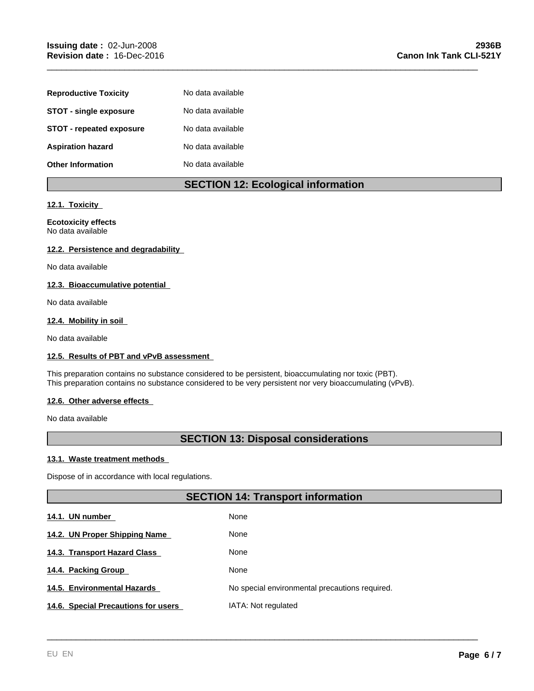| <b>Reproductive Toxicity</b>  | No data available |
|-------------------------------|-------------------|
| <b>STOT - single exposure</b> | No data available |
| STOT - repeated exposure      | No data available |
| <b>Aspiration hazard</b>      | No data available |
| <b>Other Information</b>      | No data available |

## **SECTION 12: Ecological information**

\_\_\_\_\_\_\_\_\_\_\_\_\_\_\_\_\_\_\_\_\_\_\_\_\_\_\_\_\_\_\_\_\_\_\_\_\_\_\_\_\_\_\_\_\_\_\_\_\_\_\_\_\_\_\_\_\_\_\_\_\_\_\_\_\_\_\_\_\_\_\_\_\_\_\_\_\_\_\_\_\_\_\_\_\_\_\_\_\_

## **12.1. Toxicity**

## **Ecotoxicity effects** No data available

## **12.2. Persistence and degradability**

No data available

## **12.3. Bioaccumulative potential**

No data available

## **12.4. Mobility in soil**

No data available

## **12.5. Results of PBT and vPvB assessment**

This preparation contains no substance considered to be persistent, bioaccumulating nor toxic (PBT). This preparation contains no substance considered to be very persistent nor very bioaccumulating (vPvB).

## **12.6. Other adverse effects**

No data available

## **SECTION 13: Disposal considerations**

## **13.1. Waste treatment methods**

Dispose of in accordance with local regulations.

## **SECTION 14: Transport information**

\_\_\_\_\_\_\_\_\_\_\_\_\_\_\_\_\_\_\_\_\_\_\_\_\_\_\_\_\_\_\_\_\_\_\_\_\_\_\_\_\_\_\_\_\_\_\_\_\_\_\_\_\_\_\_\_\_\_\_\_\_\_\_\_\_\_\_\_\_\_\_\_\_\_\_\_\_\_\_\_\_\_\_\_\_\_\_\_\_

| 14.1. UN number                     | None                                           |
|-------------------------------------|------------------------------------------------|
| 14.2. UN Proper Shipping Name       | None                                           |
| 14.3. Transport Hazard Class        | None                                           |
| 14.4. Packing Group                 | None                                           |
| 14.5. Environmental Hazards         | No special environmental precautions required. |
| 14.6. Special Precautions for users | IATA: Not regulated                            |